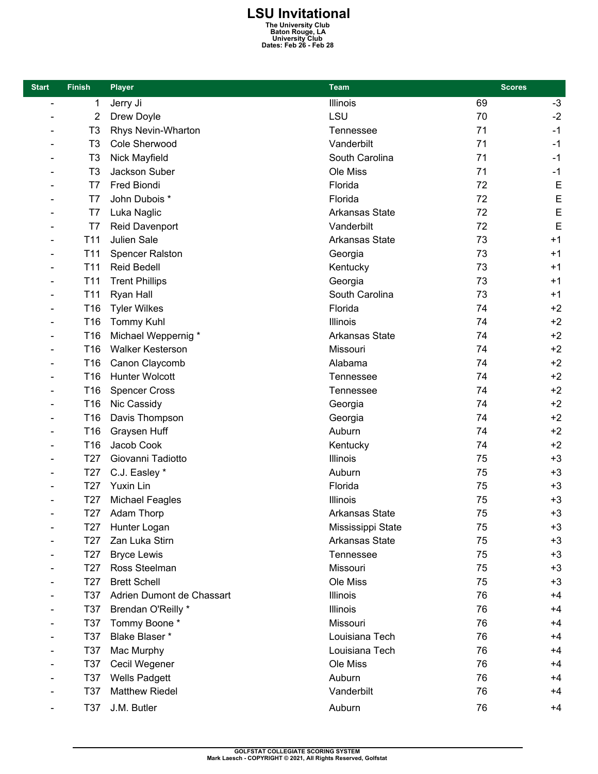## **LSU Invitational The University Club Baton Rouge, LA University Club Dates: Feb 26 - Feb 28**

| <b>Start</b>             | <b>Finish</b>   | <b>Player</b>             | <b>Team</b>           | <b>Scores</b> |             |
|--------------------------|-----------------|---------------------------|-----------------------|---------------|-------------|
| $\overline{a}$           | 1               | Jerry Ji                  | Illinois              | 69            | $-3$        |
|                          | $\overline{2}$  | Drew Doyle                | LSU                   | 70            | $-2$        |
|                          | T <sub>3</sub>  | <b>Rhys Nevin-Wharton</b> | Tennessee             | 71            | $-1$        |
|                          | T <sub>3</sub>  | Cole Sherwood             | Vanderbilt            | 71            | $-1$        |
|                          | T <sub>3</sub>  | Nick Mayfield             | South Carolina        | 71            | $-1$        |
|                          | T3              | Jackson Suber             | Ole Miss              | 71            | $-1$        |
|                          | T7              | Fred Biondi               | Florida               | 72            | $\mathsf E$ |
|                          | T7              | John Dubois *             | Florida               | 72            | $\mathsf E$ |
|                          | T7              | Luka Naglic               | <b>Arkansas State</b> | 72            | E           |
|                          | T7              | Reid Davenport            | Vanderbilt            | 72            | E           |
|                          | T <sub>11</sub> | Julien Sale               | <b>Arkansas State</b> | 73            | $+1$        |
|                          | T <sub>11</sub> | <b>Spencer Ralston</b>    | Georgia               | 73            | $+1$        |
|                          | T <sub>11</sub> | <b>Reid Bedell</b>        | Kentucky              | 73            | $+1$        |
|                          | T <sub>11</sub> | <b>Trent Phillips</b>     | Georgia               | 73            | $+1$        |
|                          | T <sub>11</sub> | Ryan Hall                 | South Carolina        | 73            | $+1$        |
|                          | T16             | <b>Tyler Wilkes</b>       | Florida               | 74            | $+2$        |
|                          | T16             | <b>Tommy Kuhl</b>         | <b>Illinois</b>       | 74            | $+2$        |
| $\qquad \qquad$          | T16             | Michael Weppernig *       | <b>Arkansas State</b> | 74            | $+2$        |
|                          | T <sub>16</sub> | <b>Walker Kesterson</b>   | Missouri              | 74            | $+2$        |
|                          | T16             | Canon Claycomb            | Alabama               | 74            | $+2$        |
|                          | T <sub>16</sub> | <b>Hunter Wolcott</b>     | Tennessee             | 74            | $+2$        |
|                          | T16             | <b>Spencer Cross</b>      | <b>Tennessee</b>      | 74            | $+2$        |
|                          | T16             | Nic Cassidy               | Georgia               | 74            | $+2$        |
| $\overline{\phantom{0}}$ | T16             | Davis Thompson            | Georgia               | 74            | $+2$        |
|                          | T16             | Graysen Huff              | Auburn                | 74            | $+2$        |
|                          | T16             | Jacob Cook                | Kentucky              | 74            | $+2$        |
|                          | T <sub>27</sub> | Giovanni Tadiotto         | <b>Illinois</b>       | 75            | $+3$        |
|                          | T <sub>27</sub> | C.J. Easley *             | Auburn                | 75            | $+3$        |
|                          | T <sub>27</sub> | Yuxin Lin                 | Florida               | 75            | $+3$        |
|                          | T <sub>27</sub> | <b>Michael Feagles</b>    | Illinois              | 75            | $+3$        |
|                          | T <sub>27</sub> | Adam Thorp                | Arkansas State        | 75            | $+3$        |
|                          | T <sub>27</sub> | Hunter Logan              | Mississippi State     | 75            | $+3$        |
|                          | T <sub>27</sub> | Zan Luka Stirn            | <b>Arkansas State</b> | 75            | $+3$        |
|                          | T <sub>27</sub> | <b>Bryce Lewis</b>        | Tennessee             | 75            | $+3$        |
|                          | T <sub>27</sub> | Ross Steelman             | Missouri              | 75            | $+3$        |
|                          | T <sub>27</sub> | <b>Brett Schell</b>       | Ole Miss              | 75            | $+3$        |
|                          | T37             | Adrien Dumont de Chassart | Illinois              | 76            | $+4$        |
|                          | T37             | Brendan O'Reilly *        | Illinois              | 76            | $+4$        |
|                          | T37             | Tommy Boone *             | Missouri              | 76            | $+4$        |
|                          | T37             | Blake Blaser *            | Louisiana Tech        | 76            | $+4$        |
|                          | T37             | Mac Murphy                | Louisiana Tech        | 76            | $+4$        |
|                          | T37             | Cecil Wegener             | Ole Miss              | 76            | $+4$        |
|                          | T37             | <b>Wells Padgett</b>      | Auburn                | 76            | $+4$        |
|                          | <b>T37</b>      | <b>Matthew Riedel</b>     | Vanderbilt            | 76            | $+4$        |
|                          | T37             | J.M. Butler               | Auburn                | 76            | $+4$        |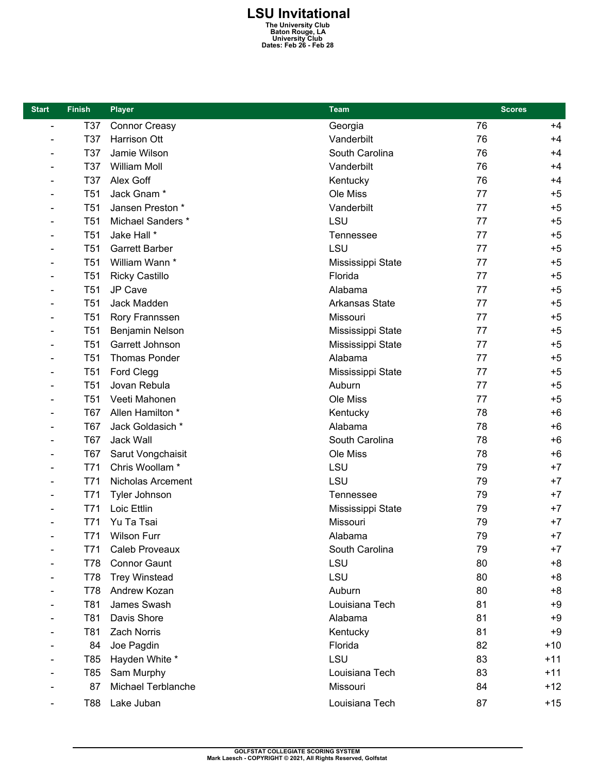## **LSU Invitational The University Club Baton Rouge, LA University Club Dates: Feb 26 - Feb 28**

| <b>Start</b>   | <b>Finish</b>   | <b>Player</b>             | Team                  | <b>Scores</b> |       |
|----------------|-----------------|---------------------------|-----------------------|---------------|-------|
| $\blacksquare$ | T37             | <b>Connor Creasy</b>      | Georgia               | 76            | $+4$  |
|                | T37             | Harrison Ott              | Vanderbilt            | 76            | $+4$  |
|                | T37             | Jamie Wilson              | South Carolina        | 76            | $+4$  |
|                | T37             | <b>William Moll</b>       | Vanderbilt            | 76            | $+4$  |
|                | T37             | Alex Goff                 | Kentucky              | 76            | $+4$  |
|                | T <sub>51</sub> | Jack Gnam*                | Ole Miss              | 77            | $+5$  |
|                | T <sub>51</sub> | Jansen Preston *          | Vanderbilt            | 77            | $+5$  |
|                | T <sub>51</sub> | Michael Sanders *         | LSU                   | 77            | $+5$  |
|                | T <sub>51</sub> | Jake Hall *               | Tennessee             | 77            | $+5$  |
|                | T <sub>51</sub> | <b>Garrett Barber</b>     | LSU                   | 77            | $+5$  |
|                | T <sub>51</sub> | William Wann *            | Mississippi State     | 77            | $+5$  |
|                | T <sub>51</sub> | <b>Ricky Castillo</b>     | Florida               | 77            | $+5$  |
|                | T <sub>51</sub> | JP Cave                   | Alabama               | 77            | $+5$  |
|                | T <sub>51</sub> | Jack Madden               | <b>Arkansas State</b> | 77            | $+5$  |
|                | T <sub>51</sub> | Rory Frannssen            | Missouri              | 77            | $+5$  |
|                | <b>T51</b>      | Benjamin Nelson           | Mississippi State     | 77            | $+5$  |
|                | T <sub>51</sub> | Garrett Johnson           | Mississippi State     | 77            | $+5$  |
|                | T <sub>51</sub> | <b>Thomas Ponder</b>      | Alabama               | 77            | $+5$  |
|                | T <sub>51</sub> | Ford Clegg                | Mississippi State     | 77            | $+5$  |
|                | <b>T51</b>      | Jovan Rebula              | Auburn                | 77            | $+5$  |
|                | T <sub>51</sub> | Veeti Mahonen             | Ole Miss              | 77            | $+5$  |
|                | T67             | Allen Hamilton *          | Kentucky              | 78            | $+6$  |
|                | T67             | Jack Goldasich *          | Alabama               | 78            | $+6$  |
|                | T67             | Jack Wall                 | South Carolina        | 78            | $+6$  |
|                | T67             | Sarut Vongchaisit         | Ole Miss              | 78            | $+6$  |
|                | T71             | Chris Woollam *           | LSU                   | 79            | $+7$  |
|                | T71             | Nicholas Arcement         | LSU                   | 79            | $+7$  |
|                | T71             | Tyler Johnson             | Tennessee             | 79            | $+7$  |
|                | T71             | Loic Ettlin               | Mississippi State     | 79            | $+7$  |
|                | T71             | Yu Ta Tsai                | Missouri              | 79            | $+7$  |
|                | T71             | <b>Wilson Furr</b>        | Alabama               | 79            | $+7$  |
|                | T71             | <b>Caleb Proveaux</b>     | South Carolina        | 79            | $+7$  |
|                | T78             | <b>Connor Gaunt</b>       | LSU                   | 80            | $+8$  |
|                | T78             | <b>Trey Winstead</b>      | LSU                   | 80            | $+8$  |
|                | T78             | Andrew Kozan              | Auburn                | 80            | $+8$  |
|                | T81             | James Swash               | Louisiana Tech        | 81            | +9    |
|                | T81             | Davis Shore               | Alabama               | 81            | $+9$  |
|                | T81             | Zach Norris               | Kentucky              | 81            | $+9$  |
|                | 84              | Joe Pagdin                | Florida               | 82            | $+10$ |
|                | T85             | Hayden White *            | LSU                   | 83            | $+11$ |
|                | T85             | Sam Murphy                | Louisiana Tech        | 83            | $+11$ |
|                | 87              | <b>Michael Terblanche</b> | Missouri              | 84            | $+12$ |
|                | T88             | Lake Juban                | Louisiana Tech        | 87            | $+15$ |